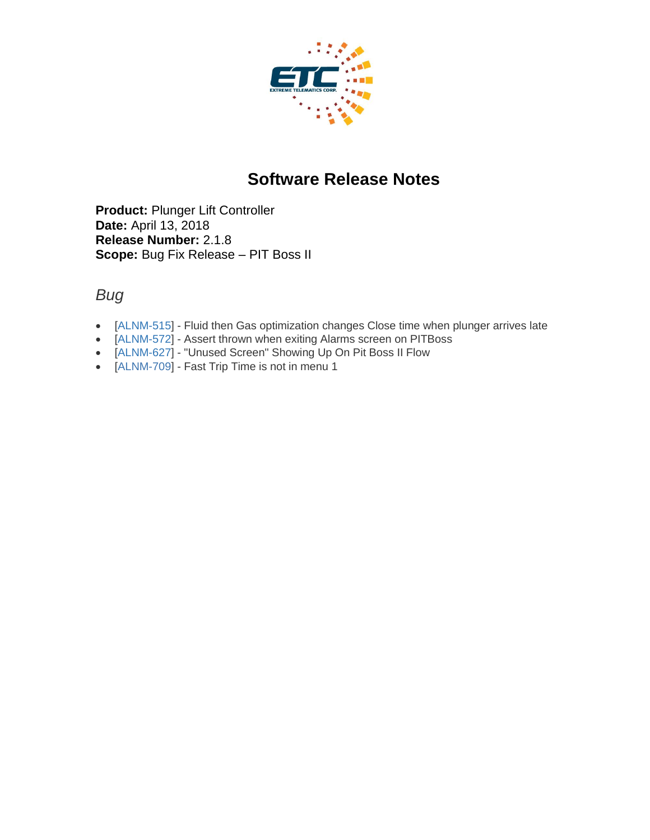

# **Software Release Notes**

**Product:** Plunger Lift Controller **Date:** April 13, 2018 **Release Number:** 2.1.8 **Scope:** Bug Fix Release – PIT Boss II

#### *Bug*

- [\[ALNM-515\]](https://etcorp.atlassian.net/browse/ALNM-515) Fluid then Gas optimization changes Close time when plunger arrives late
- [\[ALNM-572\]](https://etcorp.atlassian.net/browse/ALNM-572) Assert thrown when exiting Alarms screen on PITBoss
- [\[ALNM-627\]](https://etcorp.atlassian.net/browse/ALNM-627) "Unused Screen" Showing Up On Pit Boss II Flow
- [\[ALNM-709\]](http://jira.etcorp.int/browse/ALNM-709) Fast Trip Time is not in menu 1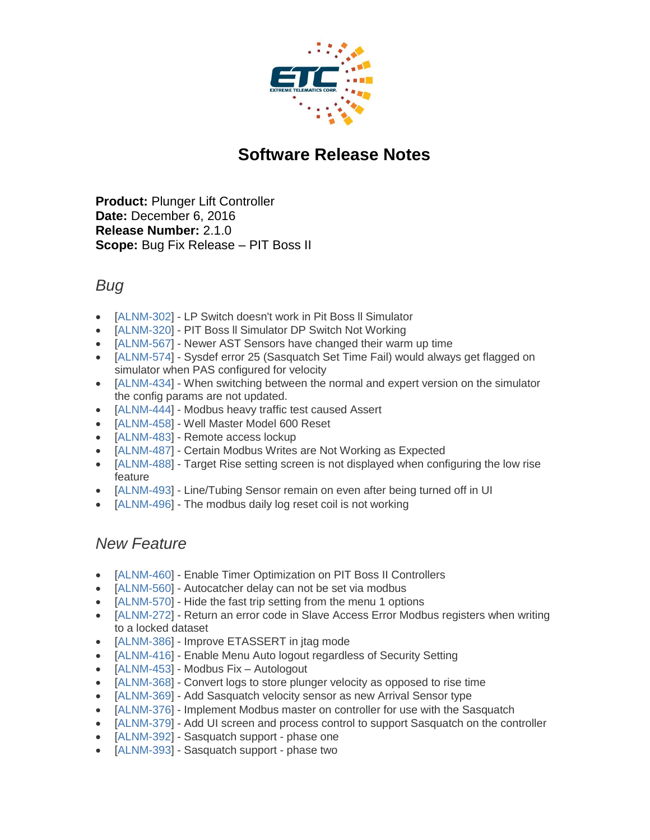

# **Software Release Notes**

**Product:** Plunger Lift Controller **Date:** December 6, 2016 **Release Number:** 2.1.0 **Scope:** Bug Fix Release – PIT Boss II

#### *Bug*

- [\[ALNM-302\]](http://jira.etcorp.int/browse/ALNM-302) LP Switch doesn't work in Pit Boss II Simulator
- [\[ALNM-320\]](http://jira.etcorp.int/browse/ALNM-320) PIT Boss II Simulator DP Switch Not Working
- [\[ALNM-567\]](http://jira.etcorp.int/browse/ALNM-567) Newer AST Sensors have changed their warm up time
- [\[ALNM-574\]](http://jira.etcorp.int/browse/ALNM-574) Sysdef error 25 (Sasquatch Set Time Fail) would always get flagged on simulator when PAS configured for velocity
- [\[ALNM-434\]](http://jira.etcorp.int/browse/ALNM-434) When switching between the normal and expert version on the simulator the config params are not updated.
- [\[ALNM-444\]](http://jira.etcorp.int/browse/ALNM-444) Modbus heavy traffic test caused Assert
- [\[ALNM-458\]](http://jira.etcorp.int/browse/ALNM-458) Well Master Model 600 Reset
- [\[ALNM-483\]](http://jira.etcorp.int/browse/ALNM-483) Remote access lockup
- [\[ALNM-487\]](http://jira.etcorp.int/browse/ALNM-487) Certain Modbus Writes are Not Working as Expected
- [\[ALNM-488\]](http://jira.etcorp.int/browse/ALNM-488) Target Rise setting screen is not displayed when configuring the low rise feature
- [\[ALNM-493\]](http://jira.etcorp.int/browse/ALNM-493) Line/Tubing Sensor remain on even after being turned off in UI
- [\[ALNM-496\]](http://jira.etcorp.int/browse/ALNM-496) The modbus daily log reset coil is not working

#### *New Feature*

- [\[ALNM-460\]](http://jira.etcorp.int/browse/ALNM-460) Enable Timer Optimization on PIT Boss II Controllers
- [\[ALNM-560\]](http://jira.etcorp.int/browse/ALNM-560) Autocatcher delay can not be set via modbus
- [\[ALNM-570\]](http://jira.etcorp.int/browse/ALNM-570) Hide the fast trip setting from the menu 1 options
- [\[ALNM-272\]](http://jira.etcorp.int/browse/ALNM-272) Return an error code in Slave Access Error Modbus registers when writing to a locked dataset
- [\[ALNM-386\]](http://jira.etcorp.int/browse/ALNM-386) Improve ETASSERT in jtag mode
- [\[ALNM-416\]](http://jira.etcorp.int/browse/ALNM-416) Enable Menu Auto logout regardless of Security Setting
- [\[ALNM-453\]](http://jira.etcorp.int/browse/ALNM-453) Modbus Fix Autologout
- [\[ALNM-368\]](http://jira.etcorp.int/browse/ALNM-368) Convert logs to store plunger velocity as opposed to rise time
- [\[ALNM-369\]](http://jira.etcorp.int/browse/ALNM-369) Add Sasquatch velocity sensor as new Arrival Sensor type
- [\[ALNM-376\]](http://jira.etcorp.int/browse/ALNM-376) Implement Modbus master on controller for use with the Sasquatch
- [\[ALNM-379\]](http://jira.etcorp.int/browse/ALNM-379) Add UI screen and process control to support Sasquatch on the controller
- [\[ALNM-392\]](http://jira.etcorp.int/browse/ALNM-392) Sasquatch support phase one
- [\[ALNM-393\]](http://jira.etcorp.int/browse/ALNM-393) Sasquatch support phase two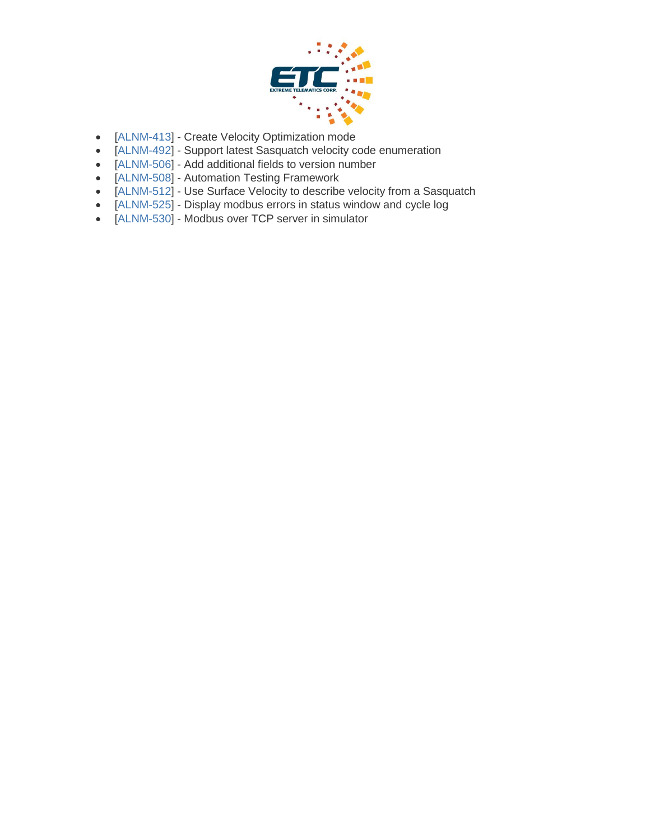

- [\[ALNM-413\]](http://jira.etcorp.int/browse/ALNM-413) Create Velocity Optimization mode
- [\[ALNM-492\]](http://jira.etcorp.int/browse/ALNM-492) Support latest Sasquatch velocity code enumeration
- [\[ALNM-506\]](http://jira.etcorp.int/browse/ALNM-506) Add additional fields to version number
- [\[ALNM-508\]](http://jira.etcorp.int/browse/ALNM-508) Automation Testing Framework
- [\[ALNM-512\]](http://jira.etcorp.int/browse/ALNM-512) Use Surface Velocity to describe velocity from a Sasquatch
- [\[ALNM-525\]](http://jira.etcorp.int/browse/ALNM-525) Display modbus errors in status window and cycle log
- [\[ALNM-530\]](http://jira.etcorp.int/browse/ALNM-530) Modbus over TCP server in simulator